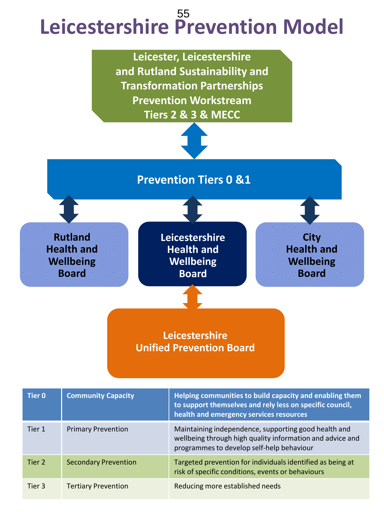# **Leicestershire Prevention Model** 55



| Tier 0 | <b>Community Capacity</b>   | Helping communities to build capacity and enabling them<br>to support themselves and rely less on specific council,<br>health and emergency services resources |
|--------|-----------------------------|----------------------------------------------------------------------------------------------------------------------------------------------------------------|
| Tier 1 | <b>Primary Prevention</b>   | Maintaining independence, supporting good health and<br>wellbeing through high quality information and advice and<br>programmes to develop self-help behaviour |
| Tier 2 | <b>Secondary Prevention</b> | Targeted prevention for individuals identified as being at<br>risk of specific conditions, events or behaviours                                                |
| Tier 3 | <b>Tertiary Prevention</b>  | Reducing more established needs                                                                                                                                |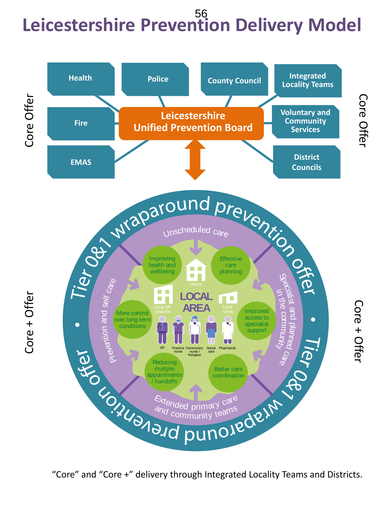# **Leicestershire Prevention Delivery Model** 56



"Core" and "Core +" delivery through Integrated Locality Teams and Districts.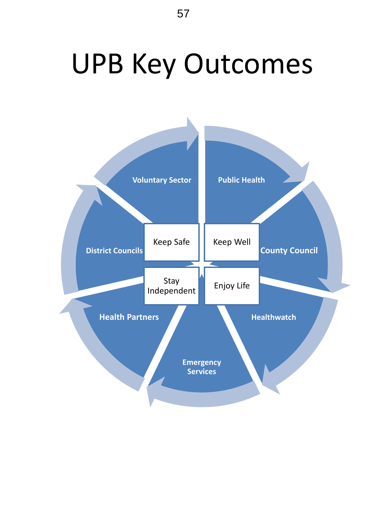# UPB Key Outcomes